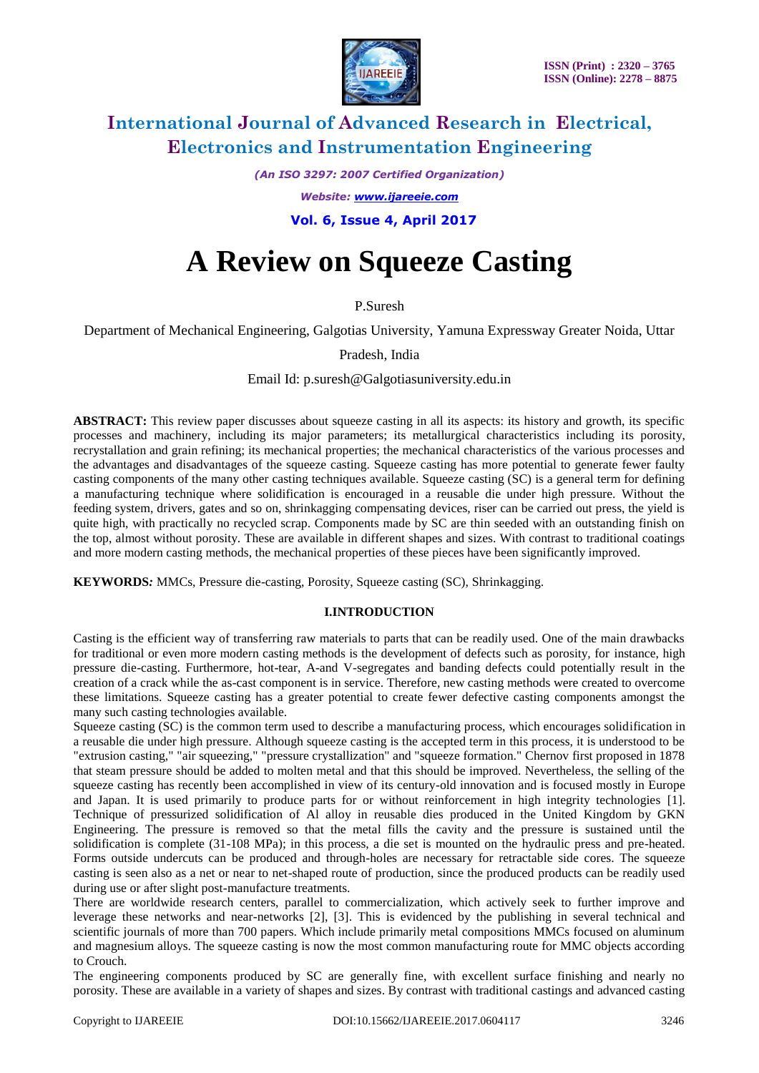

*(An ISO 3297: 2007 Certified Organization)*

*Website: [www.ijareeie.com](http://www.ijareeie.com/)*

 **Vol. 6, Issue 4, April 2017**

# **A Review on Squeeze Casting**

P.Suresh

Department of Mechanical Engineering, Galgotias University, Yamuna Expressway Greater Noida, Uttar

Pradesh, India

Email Id: p.suresh@Galgotiasuniversity.edu.in

**ABSTRACT:** This review paper discusses about squeeze casting in all its aspects: its history and growth, its specific processes and machinery, including its major parameters; its metallurgical characteristics including its porosity, recrystallation and grain refining; its mechanical properties; the mechanical characteristics of the various processes and the advantages and disadvantages of the squeeze casting. Squeeze casting has more potential to generate fewer faulty casting components of the many other casting techniques available. Squeeze casting (SC) is a general term for defining a manufacturing technique where solidification is encouraged in a reusable die under high pressure. Without the feeding system, drivers, gates and so on, shrinkagging compensating devices, riser can be carried out press, the yield is quite high, with practically no recycled scrap. Components made by SC are thin seeded with an outstanding finish on the top, almost without porosity. These are available in different shapes and sizes. With contrast to traditional coatings and more modern casting methods, the mechanical properties of these pieces have been significantly improved.

**KEYWORDS***:* MMCs, Pressure die-casting, Porosity, Squeeze casting (SC), Shrinkagging.

#### **I.INTRODUCTION**

Casting is the efficient way of transferring raw materials to parts that can be readily used. One of the main drawbacks for traditional or even more modern casting methods is the development of defects such as porosity, for instance, high pressure die-casting. Furthermore, hot-tear, A-and V-segregates and banding defects could potentially result in the creation of a crack while the as-cast component is in service. Therefore, new casting methods were created to overcome these limitations. Squeeze casting has a greater potential to create fewer defective casting components amongst the many such casting technologies available.

Squeeze casting (SC) is the common term used to describe a manufacturing process, which encourages solidification in a reusable die under high pressure. Although squeeze casting is the accepted term in this process, it is understood to be "extrusion casting," "air squeezing," "pressure crystallization" and "squeeze formation." Chernov first proposed in 1878 that steam pressure should be added to molten metal and that this should be improved. Nevertheless, the selling of the squeeze casting has recently been accomplished in view of its century-old innovation and is focused mostly in Europe and Japan. It is used primarily to produce parts for or without reinforcement in high integrity technologies [1]. Technique of pressurized solidification of Al alloy in reusable dies produced in the United Kingdom by GKN Engineering. The pressure is removed so that the metal fills the cavity and the pressure is sustained until the solidification is complete (31-108 MPa); in this process, a die set is mounted on the hydraulic press and pre-heated. Forms outside undercuts can be produced and through-holes are necessary for retractable side cores. The squeeze casting is seen also as a net or near to net-shaped route of production, since the produced products can be readily used during use or after slight post-manufacture treatments.

There are worldwide research centers, parallel to commercialization, which actively seek to further improve and leverage these networks and near-networks [2], [3]. This is evidenced by the publishing in several technical and scientific journals of more than 700 papers. Which include primarily metal compositions MMCs focused on aluminum and magnesium alloys. The squeeze casting is now the most common manufacturing route for MMC objects according to Crouch.

The engineering components produced by SC are generally fine, with excellent surface finishing and nearly no porosity. These are available in a variety of shapes and sizes. By contrast with traditional castings and advanced casting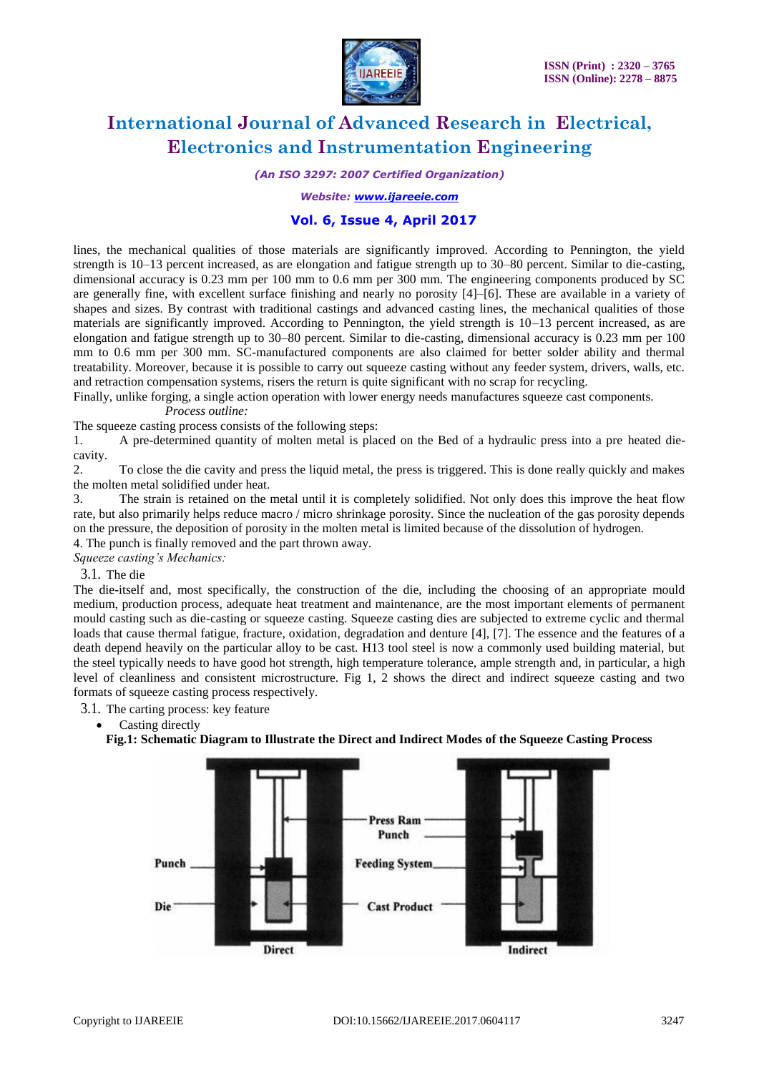

*(An ISO 3297: 2007 Certified Organization)*

*Website: [www.ijareeie.com](http://www.ijareeie.com/)*

### **Vol. 6, Issue 4, April 2017**

lines, the mechanical qualities of those materials are significantly improved. According to Pennington, the yield strength is 10–13 percent increased, as are elongation and fatigue strength up to 30–80 percent. Similar to die-casting, dimensional accuracy is 0.23 mm per 100 mm to 0.6 mm per 300 mm. The engineering components produced by SC are generally fine, with excellent surface finishing and nearly no porosity [4]–[6]. These are available in a variety of shapes and sizes. By contrast with traditional castings and advanced casting lines, the mechanical qualities of those materials are significantly improved. According to Pennington, the yield strength is 10–13 percent increased, as are elongation and fatigue strength up to 30–80 percent. Similar to die-casting, dimensional accuracy is 0.23 mm per 100 mm to 0.6 mm per 300 mm. SC-manufactured components are also claimed for better solder ability and thermal treatability. Moreover, because it is possible to carry out squeeze casting without any feeder system, drivers, walls, etc. and retraction compensation systems, risers the return is quite significant with no scrap for recycling.

Finally, unlike forging, a single action operation with lower energy needs manufactures squeeze cast components.

*Process outline:*

The squeeze casting process consists of the following steps:

1. A pre-determined quantity of molten metal is placed on the Bed of a hydraulic press into a pre heated diecavity.

2. To close the die cavity and press the liquid metal, the press is triggered. This is done really quickly and makes the molten metal solidified under heat.

3. The strain is retained on the metal until it is completely solidified. Not only does this improve the heat flow rate, but also primarily helps reduce macro / micro shrinkage porosity. Since the nucleation of the gas porosity depends on the pressure, the deposition of porosity in the molten metal is limited because of the dissolution of hydrogen.

4. The punch is finally removed and the part thrown away. *Squeeze casting's Mechanics:* 

3.1. The die

The die-itself and, most specifically, the construction of the die, including the choosing of an appropriate mould medium, production process, adequate heat treatment and maintenance, are the most important elements of permanent mould casting such as die-casting or squeeze casting. Squeeze casting dies are subjected to extreme cyclic and thermal loads that cause thermal fatigue, fracture, oxidation, degradation and denture [4], [7]. The essence and the features of a death depend heavily on the particular alloy to be cast. H13 tool steel is now a commonly used building material, but the steel typically needs to have good hot strength, high temperature tolerance, ample strength and, in particular, a high level of cleanliness and consistent microstructure. Fig 1, 2 shows the direct and indirect squeeze casting and two formats of squeeze casting process respectively.

3.1. The carting process: key feature

• Casting directly

**Fig.1: Schematic Diagram to Illustrate the Direct and Indirect Modes of the Squeeze Casting Process**

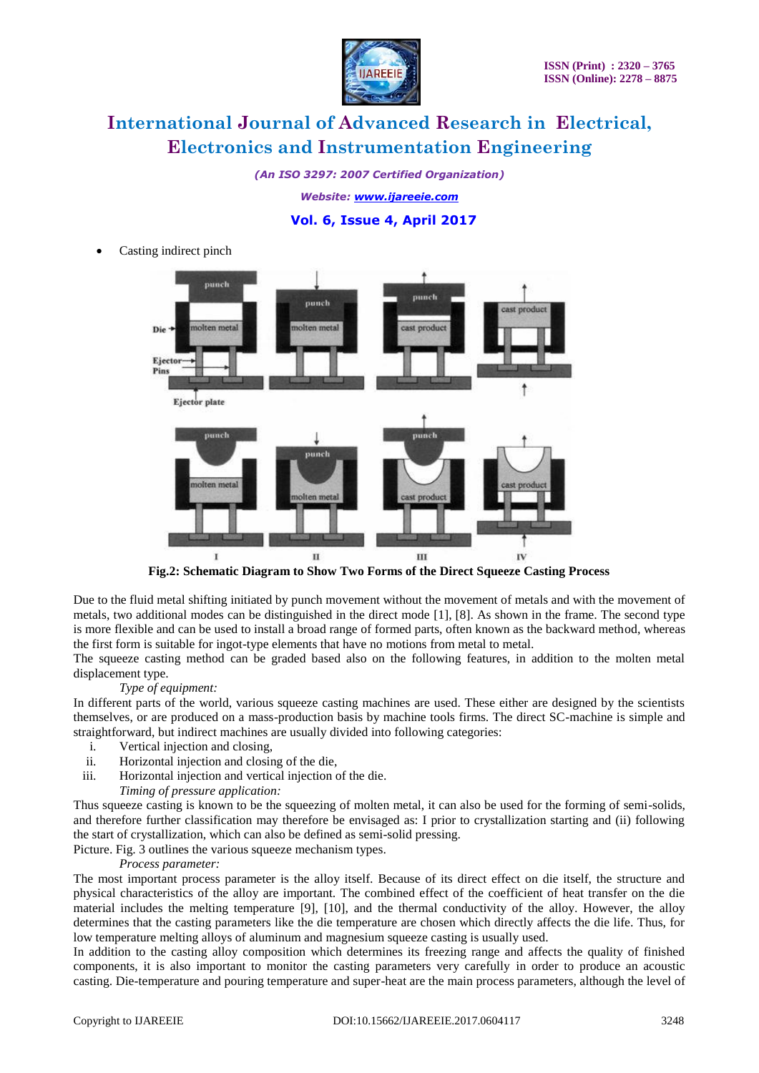

*(An ISO 3297: 2007 Certified Organization)*

*Website: [www.ijareeie.com](http://www.ijareeie.com/)*

### **Vol. 6, Issue 4, April 2017**

Casting indirect pinch



**Fig.2: Schematic Diagram to Show Two Forms of the Direct Squeeze Casting Process**

Due to the fluid metal shifting initiated by punch movement without the movement of metals and with the movement of metals, two additional modes can be distinguished in the direct mode [1], [8]. As shown in the frame. The second type is more flexible and can be used to install a broad range of formed parts, often known as the backward method, whereas the first form is suitable for ingot-type elements that have no motions from metal to metal.

The squeeze casting method can be graded based also on the following features, in addition to the molten metal displacement type.

#### *Type of equipment:*

In different parts of the world, various squeeze casting machines are used. These either are designed by the scientists themselves, or are produced on a mass-production basis by machine tools firms. The direct SC-machine is simple and straightforward, but indirect machines are usually divided into following categories:

- i. Vertical injection and closing,
- ii. Horizontal injection and closing of the die,
- iii. Horizontal injection and vertical injection of the die.
- *Timing of pressure application:*

Thus squeeze casting is known to be the squeezing of molten metal, it can also be used for the forming of semi-solids, and therefore further classification may therefore be envisaged as: I prior to crystallization starting and (ii) following the start of crystallization, which can also be defined as semi-solid pressing.

Picture. Fig. 3 outlines the various squeeze mechanism types.

#### *Process parameter:*

The most important process parameter is the alloy itself. Because of its direct effect on die itself, the structure and physical characteristics of the alloy are important. The combined effect of the coefficient of heat transfer on the die material includes the melting temperature [9], [10], and the thermal conductivity of the alloy. However, the alloy determines that the casting parameters like the die temperature are chosen which directly affects the die life. Thus, for low temperature melting alloys of aluminum and magnesium squeeze casting is usually used.

In addition to the casting alloy composition which determines its freezing range and affects the quality of finished components, it is also important to monitor the casting parameters very carefully in order to produce an acoustic casting. Die-temperature and pouring temperature and super-heat are the main process parameters, although the level of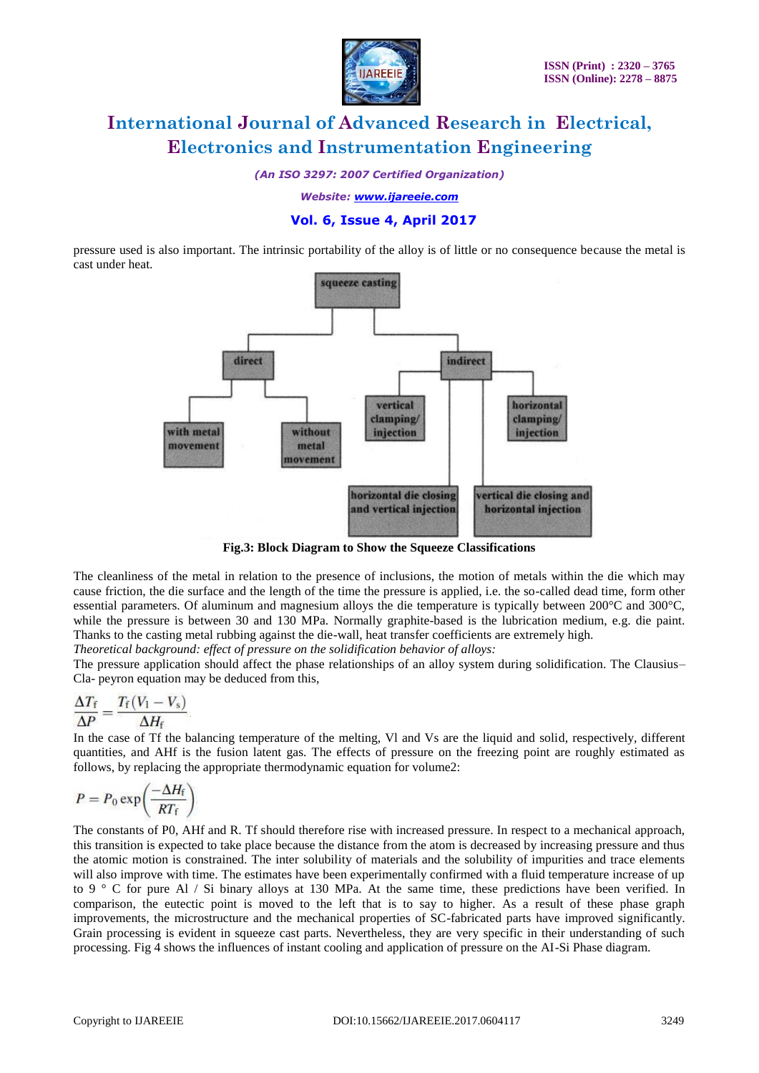

*(An ISO 3297: 2007 Certified Organization)*

*Website: [www.ijareeie.com](http://www.ijareeie.com/)*

### **Vol. 6, Issue 4, April 2017**

pressure used is also important. The intrinsic portability of the alloy is of little or no consequence because the metal is cast under heat.



**Fig.3: Block Diagram to Show the Squeeze Classifications**

The cleanliness of the metal in relation to the presence of inclusions, the motion of metals within the die which may cause friction, the die surface and the length of the time the pressure is applied, i.e. the so-called dead time, form other essential parameters. Of aluminum and magnesium alloys the die temperature is typically between 200°C and 300°C, while the pressure is between 30 and 130 MPa. Normally graphite-based is the lubrication medium, e.g. die paint. Thanks to the casting metal rubbing against the die-wall, heat transfer coefficients are extremely high.

*Theoretical background: effect of pressure on the solidification behavior of alloys:*

The pressure application should affect the phase relationships of an alloy system during solidification. The Clausius– Cla- peyron equation may be deduced from this,

$$
\frac{\Delta T_{\rm f}}{\Delta P} = \frac{T_{\rm f}(V_1 - V_{\rm s})}{\Delta H_{\rm f}}
$$

In the case of Tf the balancing temperature of the melting, Vl and Vs are the liquid and solid, respectively, different quantities, and AHf is the fusion latent gas. The effects of pressure on the freezing point are roughly estimated as follows, by replacing the appropriate thermodynamic equation for volume2:

$$
P = P_0 \exp\left(\frac{-\Delta H_{\rm f}}{RT_{\rm f}}\right)
$$

The constants of P0, AHf and R. Tf should therefore rise with increased pressure. In respect to a mechanical approach, this transition is expected to take place because the distance from the atom is decreased by increasing pressure and thus the atomic motion is constrained. The inter solubility of materials and the solubility of impurities and trace elements will also improve with time. The estimates have been experimentally confirmed with a fluid temperature increase of up to 9 ° C for pure Al / Si binary alloys at 130 MPa. At the same time, these predictions have been verified. In comparison, the eutectic point is moved to the left that is to say to higher. As a result of these phase graph improvements, the microstructure and the mechanical properties of SC-fabricated parts have improved significantly. Grain processing is evident in squeeze cast parts. Nevertheless, they are very specific in their understanding of such processing. Fig 4 shows the influences of instant cooling and application of pressure on the AI-Si Phase diagram.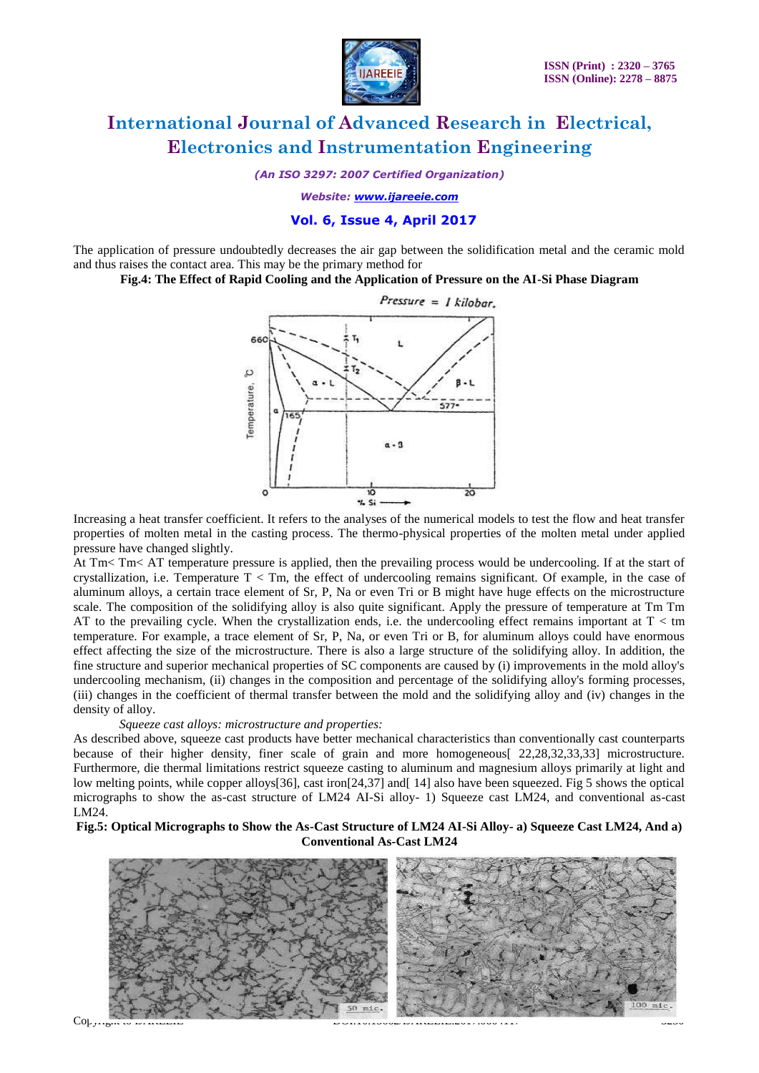

*(An ISO 3297: 2007 Certified Organization)*

*Website: [www.ijareeie.com](http://www.ijareeie.com/)*

### **Vol. 6, Issue 4, April 2017**

The application of pressure undoubtedly decreases the air gap between the solidification metal and the ceramic mold and thus raises the contact area. This may be the primary method for

**Fig.4: The Effect of Rapid Cooling and the Application of Pressure on the AI-Si Phase Diagram**



Increasing a heat transfer coefficient. It refers to the analyses of the numerical models to test the flow and heat transfer properties of molten metal in the casting process. The thermo-physical properties of the molten metal under applied pressure have changed slightly.

At Tm< Tm< AT temperature pressure is applied, then the prevailing process would be undercooling. If at the start of crystallization, i.e. Temperature  $T < Tm$ , the effect of undercooling remains significant. Of example, in the case of aluminum alloys, a certain trace element of Sr, P, Na or even Tri or B might have huge effects on the microstructure scale. The composition of the solidifying alloy is also quite significant. Apply the pressure of temperature at Tm Tm AT to the prevailing cycle. When the crystallization ends, i.e. the undercooling effect remains important at  $T <$  tm temperature. For example, a trace element of Sr, P, Na, or even Tri or B, for aluminum alloys could have enormous effect affecting the size of the microstructure. There is also a large structure of the solidifying alloy. In addition, the fine structure and superior mechanical properties of SC components are caused by (i) improvements in the mold alloy's undercooling mechanism, (ii) changes in the composition and percentage of the solidifying alloy's forming processes, (iii) changes in the coefficient of thermal transfer between the mold and the solidifying alloy and (iv) changes in the density of alloy.

#### *Squeeze cast alloys: microstructure and properties:*

As described above, squeeze cast products have better mechanical characteristics than conventionally cast counterparts because of their higher density, finer scale of grain and more homogeneous[ 22,28,32,33,33] microstructure. Furthermore, die thermal limitations restrict squeeze casting to aluminum and magnesium alloys primarily at light and low melting points, while copper alloys [36], cast iron [24,37] and [14] also have been squeezed. Fig 5 shows the optical micrographs to show the as-cast structure of LM24 AI-Si alloy- 1) Squeeze cast LM24, and conventional as-cast LM24.

**Fig.5: Optical Micrographs to Show the As-Cast Structure of LM24 AI-Si Alloy- a) Squeeze Cast LM24, And a) Conventional As-Cast LM24**

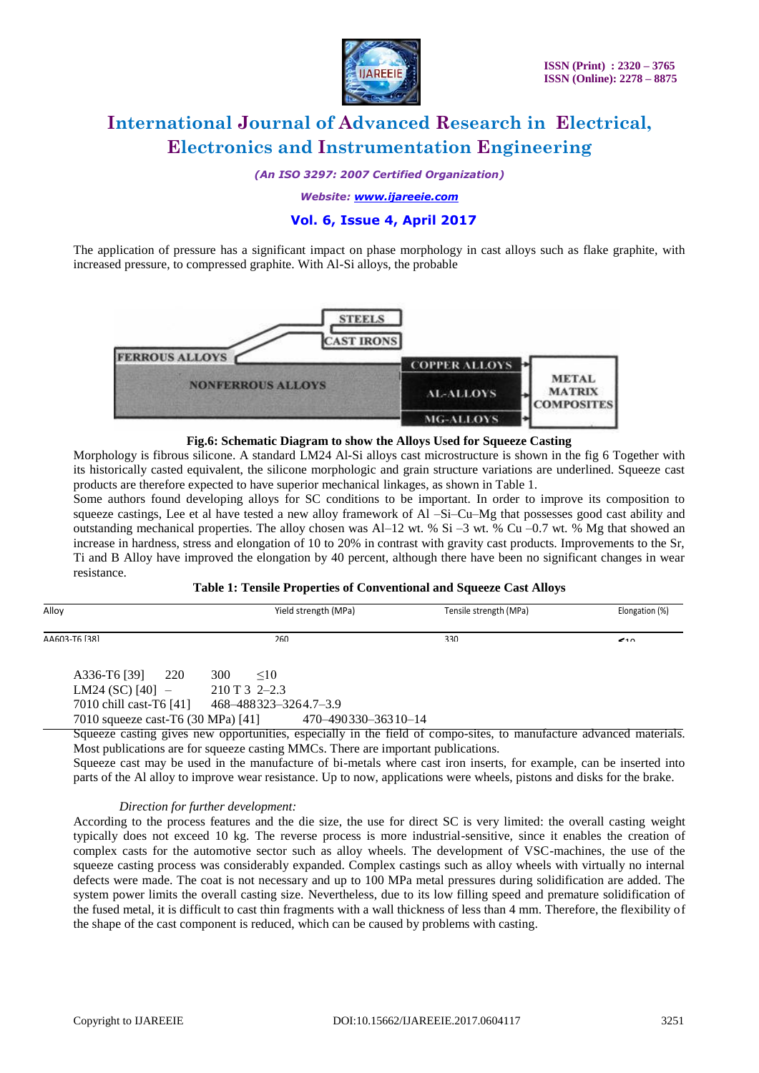

*(An ISO 3297: 2007 Certified Organization)*

*Website: [www.ijareeie.com](http://www.ijareeie.com/)*

### **Vol. 6, Issue 4, April 2017**

The application of pressure has a significant impact on phase morphology in cast alloys such as flake graphite, with increased pressure, to compressed graphite. With Al-Si alloys, the probable



#### **Fig.6: Schematic Diagram to show the Alloys Used for Squeeze Casting**

Morphology is fibrous silicone. A standard LM24 Al-Si alloys cast microstructure is shown in the fig 6 Together with its historically casted equivalent, the silicone morphologic and grain structure variations are underlined. Squeeze cast products are therefore expected to have superior mechanical linkages, as shown in Table 1.

Some authors found developing alloys for SC conditions to be important. In order to improve its composition to squeeze castings, Lee et al have tested a new alloy framework of Al –Si–Cu–Mg that possesses good cast ability and outstanding mechanical properties. The alloy chosen was Al–12 wt. % Si –3 wt. % Cu –0.7 wt. % Mg that showed an increase in hardness, stress and elongation of 10 to 20% in contrast with gravity cast products. Improvements to the Sr, Ti and B Alloy have improved the elongation by 40 percent, although there have been no significant changes in wear resistance.

#### **Table 1: Tensile Properties of Conventional and Squeeze Cast Alloys**

| Alloy                              | Yield strength (MPa)  | Tensile strength (MPa) | Elongation (%) |
|------------------------------------|-----------------------|------------------------|----------------|
| AA603-T6 [38]                      | 260                   | 330                    | $\rightarrow$  |
| 220<br>A336-T6 [39]                | 300<br>$\leq 10$      |                        |                |
| LM24 (SC) $[40]$ –                 | $210T32-2.3$          |                        |                |
| 7010 chill cast-T6 [41]            | 468-488323-3264.7-3.9 |                        |                |
| 7010 squeeze cast-T6 (30 MPa) [41] | 470-490330-36310-14   |                        |                |

Squeeze casting gives new opportunities, especially in the field of compo-sites, to manufacture advanced materials. Most publications are for squeeze casting MMCs. There are important publications.

Squeeze cast may be used in the manufacture of bi-metals where cast iron inserts, for example, can be inserted into parts of the Al alloy to improve wear resistance. Up to now, applications were wheels, pistons and disks for the brake.

#### *Direction for further development:*

According to the process features and the die size, the use for direct SC is very limited: the overall casting weight typically does not exceed 10 kg. The reverse process is more industrial-sensitive, since it enables the creation of complex casts for the automotive sector such as alloy wheels. The development of VSC-machines, the use of the squeeze casting process was considerably expanded. Complex castings such as alloy wheels with virtually no internal defects were made. The coat is not necessary and up to 100 MPa metal pressures during solidification are added. The system power limits the overall casting size. Nevertheless, due to its low filling speed and premature solidification of the fused metal, it is difficult to cast thin fragments with a wall thickness of less than 4 mm. Therefore, the flexibility of the shape of the cast component is reduced, which can be caused by problems with casting.